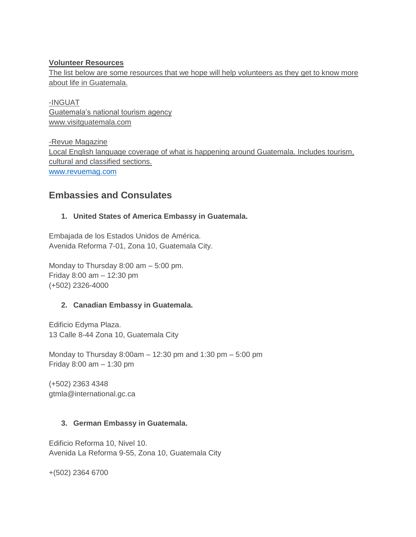#### **Volunteer Resources**

The list below are some resources that we hope will help volunteers as they get to know more about life in Guatemala.

-INGUAT Guatemala's national tourism agency www.visitguatemala.com

-Revue Magazine Local English language coverage of what is happening around Guatemala. Includes tourism, cultural and classified sections. [www.revuemag.com](http://www.revuemag.com/)

# **Embassies and Consulates**

## **1. United States of America Embassy in Guatemala.**

Embajada de los Estados Unidos de América. Avenida Reforma 7-01, Zona 10, Guatemala City.

Monday to Thursday 8:00 am – 5:00 pm. Friday 8:00 am – 12:30 pm (+502) 2326-4000

## **2. Canadian Embassy in Guatemala.**

Edificio Edyma Plaza. 13 Calle 8-44 Zona 10, Guatemala City

Monday to Thursday 8:00am – 12:30 pm and 1:30 pm – 5:00 pm Friday 8:00 am – 1:30 pm

(+502) 2363 4348 gtmla@international.gc.ca

## **3. German Embassy in Guatemala.**

Edificio Reforma 10, Nivel 10. Avenida La Reforma 9-55, Zona 10, Guatemala City

+(502) 2364 6700